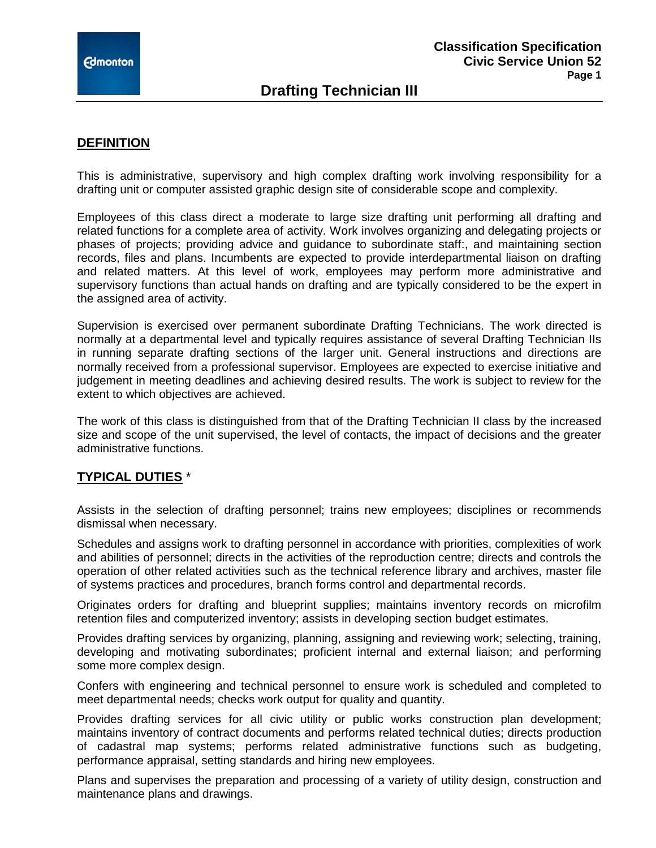# **Drafting Technician III**

## **DEFINITION**

This is administrative, supervisory and high complex drafting work involving responsibility for a drafting unit or computer assisted graphic design site of considerable scope and complexity.

Employees of this class direct a moderate to large size drafting unit performing all drafting and related functions for a complete area of activity. Work involves organizing and delegating projects or phases of projects; providing advice and guidance to subordinate staff:, and maintaining section records, files and plans. Incumbents are expected to provide interdepartmental liaison on drafting and related matters. At this level of work, employees may perform more administrative and supervisory functions than actual hands on drafting and are typically considered to be the expert in the assigned area of activity.

Supervision is exercised over permanent subordinate Drafting Technicians. The work directed is normally at a departmental level and typically requires assistance of several Drafting Technician IIs in running separate drafting sections of the larger unit. General instructions and directions are normally received from a professional supervisor. Employees are expected to exercise initiative and judgement in meeting deadlines and achieving desired results. The work is subject to review for the extent to which objectives are achieved.

The work of this class is distinguished from that of the Drafting Technician II class by the increased size and scope of the unit supervised, the level of contacts, the impact of decisions and the greater administrative functions.

## **TYPICAL DUTIES** \*

Assists in the selection of drafting personnel; trains new employees; disciplines or recommends dismissal when necessary.

Schedules and assigns work to drafting personnel in accordance with priorities, complexities of work and abilities of personnel; directs in the activities of the reproduction centre; directs and controls the operation of other related activities such as the technical reference library and archives, master file of systems practices and procedures, branch forms control and departmental records.

Originates orders for drafting and blueprint supplies; maintains inventory records on microfilm retention files and computerized inventory; assists in developing section budget estimates.

Provides drafting services by organizing, planning, assigning and reviewing work; selecting, training, developing and motivating subordinates; proficient internal and external liaison; and performing some more complex design.

Confers with engineering and technical personnel to ensure work is scheduled and completed to meet departmental needs; checks work output for quality and quantity.

Provides drafting services for all civic utility or public works construction plan development; maintains inventory of contract documents and performs related technical duties; directs production of cadastral map systems; performs related administrative functions such as budgeting, performance appraisal, setting standards and hiring new employees.

Plans and supervises the preparation and processing of a variety of utility design, construction and maintenance plans and drawings.